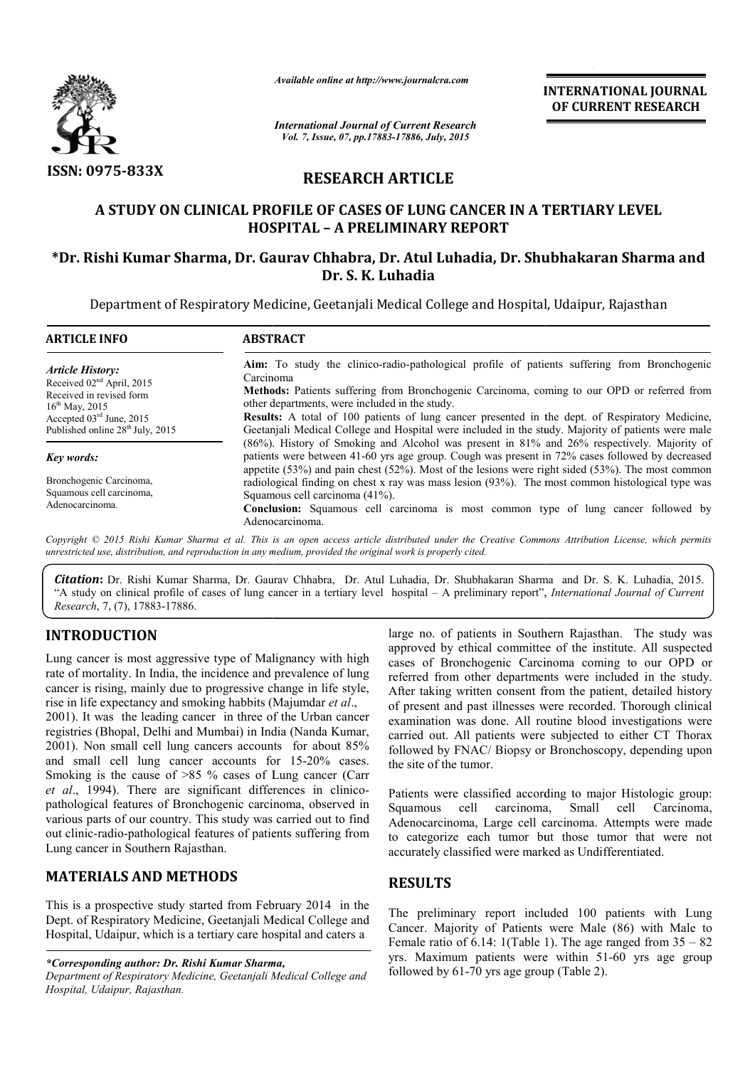

*Available online at http://www.journalcra.com*

*International Journal of Current Research Vol. 7, Issue, 07, pp.17883-17886, July, 2015*

**INTERNATIONAL INTERNATIONAL JOURNAL OF CURRENT RESEARCH** 

# **RESEARCH ARTICLE**

## A STUDY ON CLINICAL PROFILE OF CASES OF LUNG CANCER IN A TERTIARY LEVEL **HOSPITAL – A PRELIMINARY REPORT**

## **\*Dr. Rishi Kumar Sharma, Dr. Gaurav Chhabra, Dr. Atul Luhadia, Dr. Shubhakaran Sharma and Dr. S. K. Luhadia**

Department of Respiratory Medicine, Geetanjali Medical College and Hospital, Udaipur, Rajasthan

| <b>ARTICLE INFO</b>                                                                                                                                                                                         | <b>ABSTRACT</b>                                                                                                                                                                                                                                                                                                                                                                                                                                                            |
|-------------------------------------------------------------------------------------------------------------------------------------------------------------------------------------------------------------|----------------------------------------------------------------------------------------------------------------------------------------------------------------------------------------------------------------------------------------------------------------------------------------------------------------------------------------------------------------------------------------------------------------------------------------------------------------------------|
| Article History:<br>Received 02 <sup>nd</sup> April, 2015<br>Received in revised form<br>$16^{\text{th}}$ May, 2015<br>Accepted 03 <sup>rd</sup> June, 2015<br>Published online 28 <sup>th</sup> July, 2015 | <b>Aim:</b> To study the clinico-radio-pathological profile of patients suffering from Bronchogenic<br>Carcinoma<br>Methods: Patients suffering from Bronchogenic Carcinoma, coming to our OPD or referred from<br>other departments, were included in the study.<br>Results: A total of 100 patients of lung cancer presented in the dept. of Respiratory Medicine,<br>Geetanjali Medical College and Hospital were included in the study. Majority of patients were male |
| Key words:                                                                                                                                                                                                  | (86%). History of Smoking and Alcohol was present in 81% and 26% respectively. Majority of<br>patients were between 41-60 yrs age group. Cough was present in 72% cases followed by decreased<br>appetite $(53\%)$ and pain chest $(52\%)$ . Most of the lesions were right sided $(53\%)$ . The most common                                                                                                                                                               |
| Bronchogenic Carcinoma,<br>Squamous cell carcinoma,<br>Adenocarcinoma.                                                                                                                                      | radiological finding on chest x ray was mass lesion (93%). The most common histological type was<br>Squamous cell carcinoma (41%).<br><b>Conclusion:</b> Squamous cell carcinoma is most common type of lung cancer followed by<br>Adenocarcinoma.                                                                                                                                                                                                                         |

Copyright © 2015 Rishi Kumar Sharma et al. This is an open access article distributed under the Creative Commons Attribution License, which permits *unrestricted use, distribution, and reproduction in any medium, provided the original work is properly cited.*

Citation: Dr. Rishi Kumar Sharma, Dr. Gaurav Chhabra, Dr. Atul Luhadia, Dr. Shubhakaran Sharma and Dr. S. K. Luhadia, 2015. "A study on clinical profile of cases of lung cancer in a tertiary level hospital – A preliminary report", *International Journal of Current Research*, 7, (7), 17883-17886.

## **INTRODUCTION**

Lung cancer is most aggressive type of Malignancy with high rate of mortality. In India, the incidence and prevalence of lung cancer is rising, mainly due to progressive change in life style, rise in life expectancy and smoking habbits (Majumdar *et al*., 2001). It was the leading cancer in three of the Urban cancer registries (Bhopal, Delhi and Mumbai) in India (Nanda Kumar, 2001). Non small cell lung cancers accounts for about 85% 2001). Non small cell lung cancers accounts for about 85% and small cell lung cancer accounts for 15-20% cases. Smoking is the cause of  $>85$  % cases of Lung cancer (Carr et al., 1994). There are significant differences in clinicopathological features of Bronchogenic carcinoma, observed in various parts of our country. This study was carried out to find out clinic-radio-pathological features of patients suffering from Lung cancer in Southern Rajasthan. **PION**<br>
large no. of patients in Southern Rajasthan. The study was<br>
expected by enchy eighered by enchy eighered form institute. All suspected<br>
In India, the incidence and prevalence of lung cases of Bronchogenic Carcinom

## **MATERIALS AND METHODS**

This is a prospective study started from February 2014 in the Dept. of Respiratory Medicine, Geetanjali Medical College and Hospital, Udaipur, which is a tertiary care hospital and caters a

*\*Corresponding author: Dr. Rishi Kumar Sharma,*

*Department of Respiratory Medicine, Geetanjali Medical College and Hospital, Udaipur, Rajasthan.*

approved by ethical committee of the institute. All suspected cases of Bronchogenic Carcinoma coming to our OPD or large no. of patients in Southern Rajasthan. The study was approved by ethical committee of the institute. All suspected cases of Bronchogenic Carcinoma coming to our OPD or referred from other departments were included in After taking written consent from the patient, detailed history of present and past illnesses were recorded. Thorough clinical examination was done. All routine blood investigations were carried out. All patients were subjected to either CT Thorax followed by FNAC/ Biopsy or Bronchoscopy, depending upon the site of the tumor. present and past illnesses were recorded. Thorough clinical amination was done. All routine blood investigations were ried out. All patients were subjected to either CT Thorax lowed by FNAC/ Biopsy or Bronchoscopy, dependi

Patients were classified according to major Histologic group: Squamous cell carcinoma, Small carcinoma, Small cell Carcinoma, Adenocarcinoma, Large cell carcinoma. Attempts were made Adenocarcinoma, Large cell carcinoma. Attempts were made to categorize each tumor but those tumor that were not accurately classified were marked as Undifferentiated.

## **RESULTS**

The preliminary report included 100 patients with Lung Cancer. Majority of Patients were Male (86) with Male to Female ratio of 6.14: 1(Table 1). The age ranged from  $35 - 82$ yrs. Maximum patients were within 51-60 yrs age group followed by  $61-70$  yrs age group (Table 2). Example 19 classified were marked as Undifferentiated.<br>
LTS<br>
eliminary report included 100 patients with Lung<br>
Majority of Patients were Male (86) with Male to<br>
ratio of 6.14: 1(Table 1). The age ranged from  $35 - 82$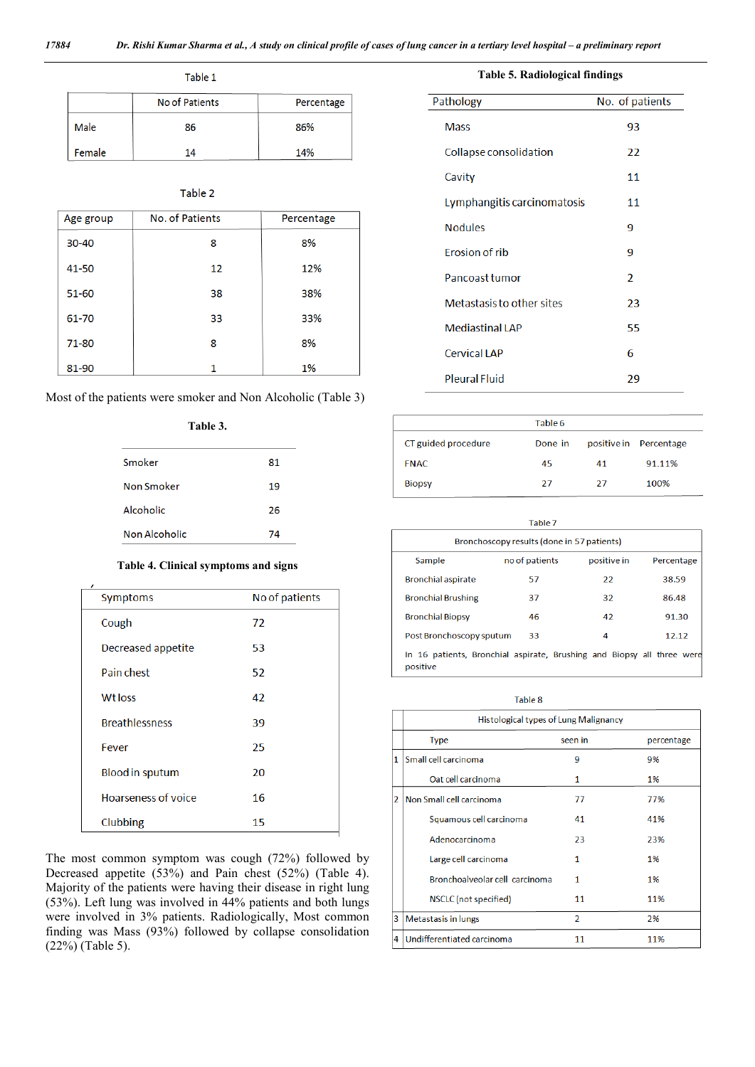| Table 1 |                |            |  |
|---------|----------------|------------|--|
|         | No of Patients | Percentage |  |
| Male    | 86             | 86%        |  |
| Female  | 14             | 14%        |  |

#### Table 2

| Age group | No. of Patients | Percentage |
|-----------|-----------------|------------|
| 30-40     | 8               | 8%         |
| 41-50     | 12              | 12%        |
| $51 - 60$ | 38              | 38%        |
| 61-70     | 33              | 33%        |
| 71-80     | 8               | 8%         |
| 81-90     | 1               | 1%         |

Most of the patients were smoker and Non Alcoholic (Table 3)

#### **Table 3.**

| Smoker        | 81 |
|---------------|----|
| Non Smoker    | 19 |
| Alcoholic     | 26 |
| Non Alcoholic | 74 |

#### **Table 4. Clinical symptoms and signs**

| Symptoms               | No of patients |
|------------------------|----------------|
| Cough                  | 72             |
| Decreased appetite     | 53             |
| Pain chest             | 52             |
| <b>Wtloss</b>          | 42             |
| <b>Breathlessness</b>  | 39             |
| Fever                  | 25             |
| <b>Blood in sputum</b> | 20             |
| Hoarseness of voice    | 16             |
| Clubbing               | 15             |

The most common symptom was cough (72%) followed by Decreased appetite (53%) and Pain chest (52%) (Table 4). Majority of the patients were having their disease in right lung (53%). Left lung was involved in 44% patients and both lungs were involved in 3% patients. Radiologically, Most common finding was Mass (93%) followed by collapse consolidation (22%) (Table 5).

| <b>Table 5. Radiological findings</b> |                 |  |  |
|---------------------------------------|-----------------|--|--|
| Pathology                             | No. of patients |  |  |
| <b>Mass</b>                           | 93              |  |  |
| Collapse consolidation                | 22              |  |  |
| Cavity                                | 11              |  |  |
| Lymphangitis carcinomatosis           | 11              |  |  |
| <b>Nodules</b>                        | 9               |  |  |
| <b>Erosion of rib</b>                 | 9               |  |  |
| Pancoast tumor                        | $\mathcal{P}$   |  |  |
| Metastasis to other sites             | 23              |  |  |
| <b>Mediastinal LAP</b>                | 55              |  |  |
| <b>Cervical LAP</b>                   | 6               |  |  |
| <b>Pleural Fluid</b>                  | 29              |  |  |

|                     | Table 6 |    |                        |
|---------------------|---------|----|------------------------|
| CT guided procedure | Done in |    | positive in Percentage |
| <b>FNAC</b>         | 45      | 41 | 91.11%                 |
| <b>Biopsy</b>       | 27      | 27 | 100%                   |

| Table 7                                                                            |                |             |            |  |
|------------------------------------------------------------------------------------|----------------|-------------|------------|--|
| Bronchoscopy results (done in 57 patients)                                         |                |             |            |  |
| Sample                                                                             | no of patients | positive in | Percentage |  |
| <b>Bronchial aspirate</b>                                                          | 57             | 22          | 38.59      |  |
| <b>Bronchial Brushing</b>                                                          | 37             | 32          | 86.48      |  |
| <b>Bronchial Biopsy</b>                                                            | 46             | 42          | 91.30      |  |
| Post Bronchoscopy sputum                                                           | 33             | 4           | 12.12      |  |
| In 16 patients, Bronchial aspirate, Brushing and Biopsy all three were<br>positive |                |             |            |  |

Table 8

|   | Histological types of Lung Malignancy |                |            |  |
|---|---------------------------------------|----------------|------------|--|
|   | <b>Type</b>                           | seen in        | percentage |  |
| 1 | Small cell carcinoma                  | 9              | 9%         |  |
|   | Oat cell carcinoma                    | 1              | 1%         |  |
| 2 | Non Small cell carcinoma              | 77             | 77%        |  |
|   | Squamous cell carcinoma               | 41             | 41%        |  |
|   | Adenocarcinoma                        | 23             | 23%        |  |
|   | Large cell carcinoma                  | 1              | 1%         |  |
|   | Bronchoalveolar cell carcinoma        | 1              | 1%         |  |
|   | NSCLC (not specified)                 | 11             | 11%        |  |
| 3 | Metastasis in lungs                   | $\overline{2}$ | 2%         |  |
| 4 | Undifferentiated carcinoma            | 11             | 11%        |  |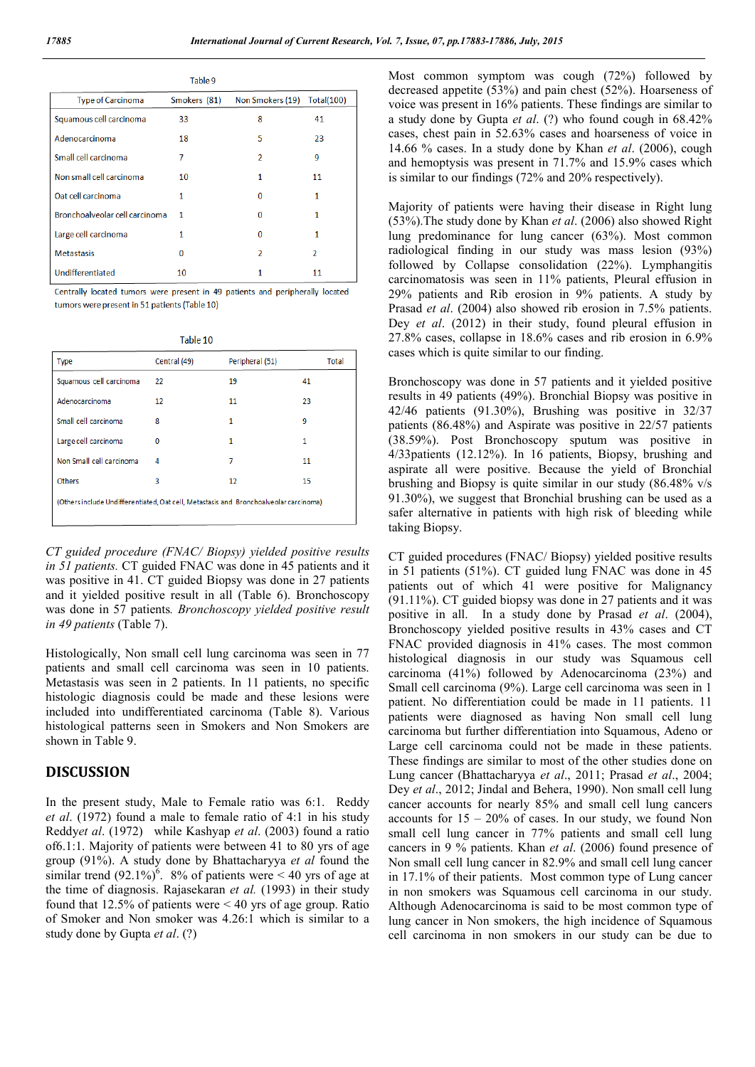|                                | Table 9      |                  |                          |
|--------------------------------|--------------|------------------|--------------------------|
| <b>Type of Carcinoma</b>       | Smokers (81) | Non Smokers (19) | Total(100)               |
| Squamous cell carcinoma        | 33           | 8                | 41                       |
| Adenocarcinoma                 | 18           | 5                | 23                       |
| Small cell carcinoma           | 7            | $\mathcal{P}$    | 9                        |
| Non small cell carcinoma       | 10           | 1                | 11                       |
| Oat cell carcinoma             | 1            | n                |                          |
| Bronchoalveolar cell carcinoma | 1            | O                |                          |
| Large cell carcinoma           |              | O                |                          |
| <b>Metastasis</b>              | n            | 2                | $\overline{\phantom{a}}$ |
| Undifferentiated               | 10           |                  | 11                       |

Centrally located tumors were present in 49 patients and peripherally located tumors were present in 51 patients (Table 10)

|--|--|

| <b>Type</b>                                                                           | Central (49) | Peripheral (51) | Total |
|---------------------------------------------------------------------------------------|--------------|-----------------|-------|
| Squamous cell carcinoma                                                               | 22           | 19              | 41    |
| Adenocarcinoma                                                                        | 12           | 11              | 23    |
| Small cell carcinoma                                                                  | 8            | 1               | ٩     |
| Large cell carcinoma                                                                  | 0            | 1               | 1     |
| Non Small cell carcinoma                                                              | 4            | 7               | 11    |
| Others                                                                                | 3            | 12              | 15    |
| (Others include Undifferentiated, Oat cell, Metastasis and Bronchoalveolar carcinoma) |              |                 |       |
|                                                                                       |              |                 |       |

*CT guided procedure (FNAC/ Biopsy) yielded positive results in 51 patients.* CT guided FNAC was done in 45 patients and it was positive in 41. CT guided Biopsy was done in 27 patients and it yielded positive result in all (Table 6). Bronchoscopy was done in 57 patients*. Bronchoscopy yielded positive result in 49 patients* (Table 7).

Histologically, Non small cell lung carcinoma was seen in 77 patients and small cell carcinoma was seen in 10 patients. Metastasis was seen in 2 patients. In 11 patients, no specific histologic diagnosis could be made and these lesions were included into undifferentiated carcinoma (Table 8). Various histological patterns seen in Smokers and Non Smokers are shown in Table 9.

### **DISCUSSION**

In the present study, Male to Female ratio was 6:1. Reddy *et al*. (1972) found a male to female ratio of 4:1 in his study Reddy*et al*. (1972) while Kashyap *et al*. (2003) found a ratio of6.1:1. Majority of patients were between 41 to 80 yrs of age group (91%). A study done by Bhattacharyya *et al* found the similar trend  $(92.1\%)^6$ . 8% of patients were < 40 yrs of age at the time of diagnosis. Rajasekaran *et al.* (1993) in their study found that 12.5% of patients were < 40 yrs of age group. Ratio of Smoker and Non smoker was 4.26:1 which is similar to a study done by Gupta *et al*. (?)

Most common symptom was cough (72%) followed by decreased appetite (53%) and pain chest (52%). Hoarseness of voice was present in 16% patients. These findings are similar to a study done by Gupta *et al*. (?) who found cough in 68.42% cases, chest pain in 52.63% cases and hoarseness of voice in 14.66 % cases. In a study done by Khan *et al*. (2006), cough and hemoptysis was present in 71.7% and 15.9% cases which is similar to our findings (72% and 20% respectively).

Majority of patients were having their disease in Right lung (53%).The study done by Khan *et al*. (2006) also showed Right lung predominance for lung cancer (63%). Most common radiological finding in our study was mass lesion (93%) followed by Collapse consolidation (22%). Lymphangitis carcinomatosis was seen in 11% patients, Pleural effusion in 29% patients and Rib erosion in 9% patients. A study by Prasad *et al*. (2004) also showed rib erosion in 7.5% patients. Dey *et al*. (2012) in their study, found pleural effusion in 27.8% cases, collapse in 18.6% cases and rib erosion in 6.9% cases which is quite similar to our finding.

Bronchoscopy was done in 57 patients and it yielded positive results in 49 patients (49%). Bronchial Biopsy was positive in 42/46 patients (91.30%), Brushing was positive in 32/37 patients (86.48%) and Aspirate was positive in 22/57 patients (38.59%). Post Bronchoscopy sputum was positive in 4/33patients (12.12%). In 16 patients, Biopsy, brushing and aspirate all were positive. Because the yield of Bronchial brushing and Biopsy is quite similar in our study (86.48% v/s 91.30%), we suggest that Bronchial brushing can be used as a safer alternative in patients with high risk of bleeding while taking Biopsy.

CT guided procedures (FNAC/ Biopsy) yielded positive results in 51 patients (51%). CT guided lung FNAC was done in 45 patients out of which 41 were positive for Malignancy (91.11%). CT guided biopsy was done in 27 patients and it was positive in all. In a study done by Prasad *et al*. (2004), Bronchoscopy yielded positive results in 43% cases and CT FNAC provided diagnosis in 41% cases. The most common histological diagnosis in our study was Squamous cell carcinoma (41%) followed by Adenocarcinoma (23%) and Small cell carcinoma (9%). Large cell carcinoma was seen in 1 patient. No differentiation could be made in 11 patients. 11 patients were diagnosed as having Non small cell lung carcinoma but further differentiation into Squamous, Adeno or Large cell carcinoma could not be made in these patients. These findings are similar to most of the other studies done on Lung cancer (Bhattacharyya *et al*., 2011; Prasad *et al*., 2004; Dey *et al*., 2012; Jindal and Behera, 1990). Non small cell lung cancer accounts for nearly 85% and small cell lung cancers accounts for  $15 - 20\%$  of cases. In our study, we found Non small cell lung cancer in 77% patients and small cell lung cancers in 9 % patients. Khan *et al*. (2006) found presence of Non small cell lung cancer in 82.9% and small cell lung cancer in 17.1% of their patients. Most common type of Lung cancer in non smokers was Squamous cell carcinoma in our study. Although Adenocarcinoma is said to be most common type of lung cancer in Non smokers, the high incidence of Squamous cell carcinoma in non smokers in our study can be due to

 $\sim$  10  $\sim$